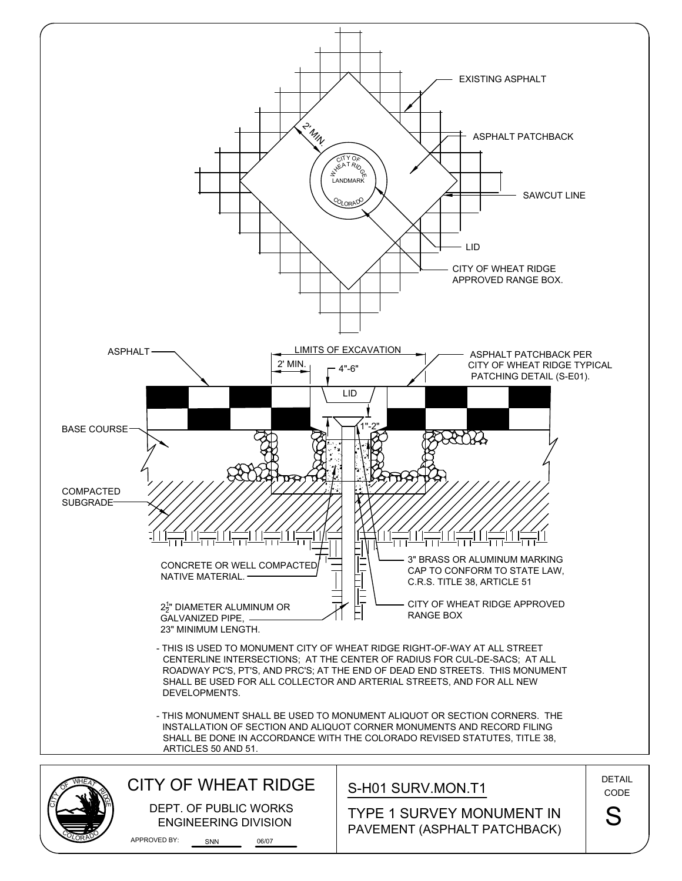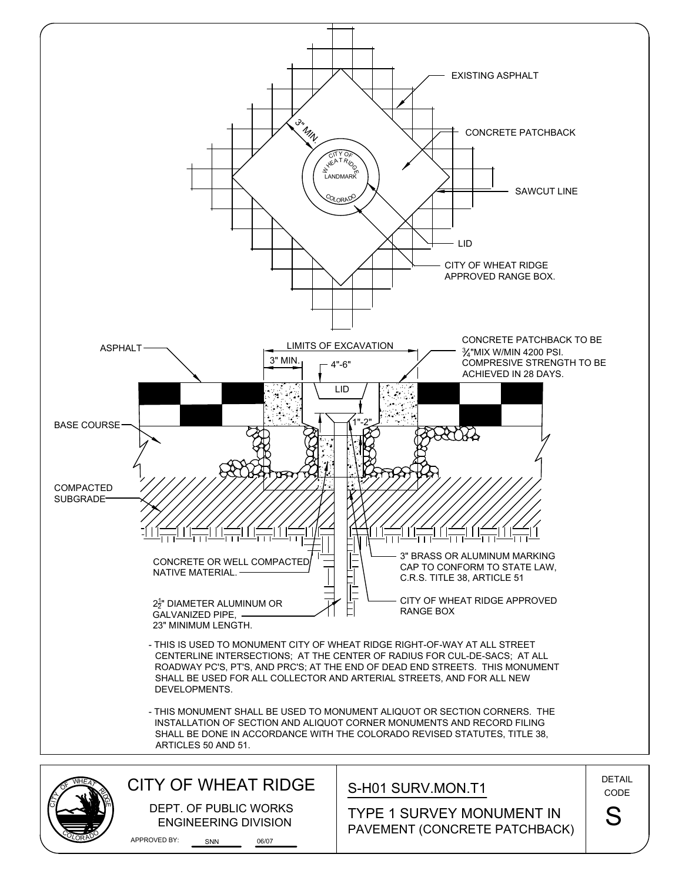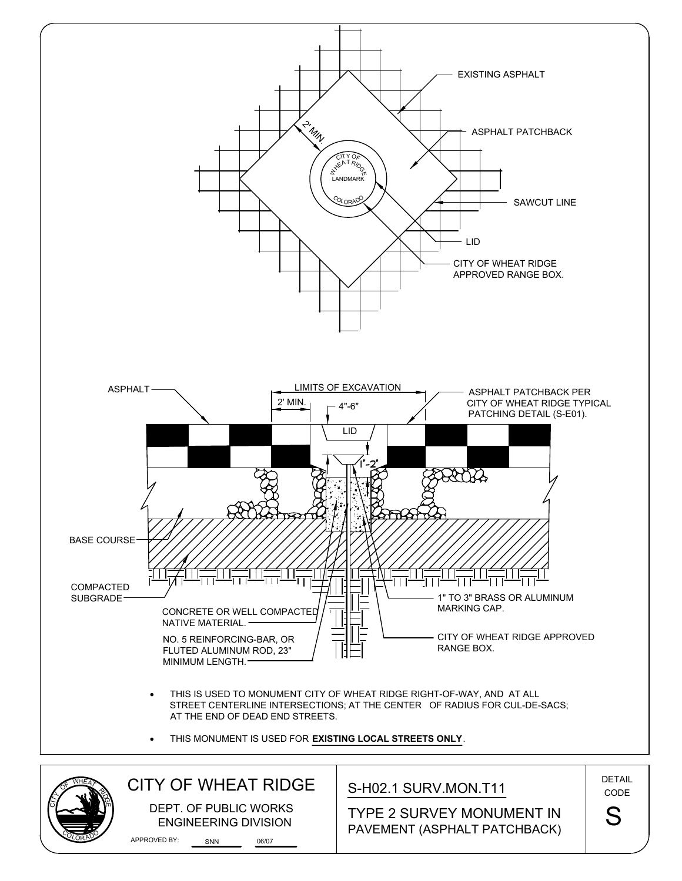

COLORAD

O,

## PAVEMENT (ASPHALT PATCHBACK)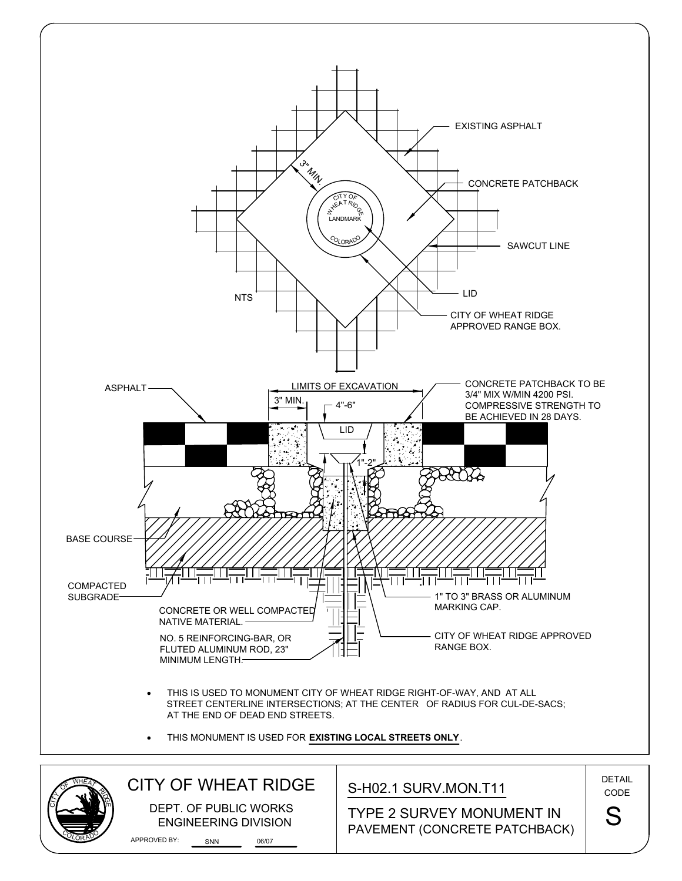

ENGINEERING DIVISION

COLORAD

O,

PAVEMENT (CONCRETE PATCHBACK) TYPE 2 SURVEY MONUMENT IN S